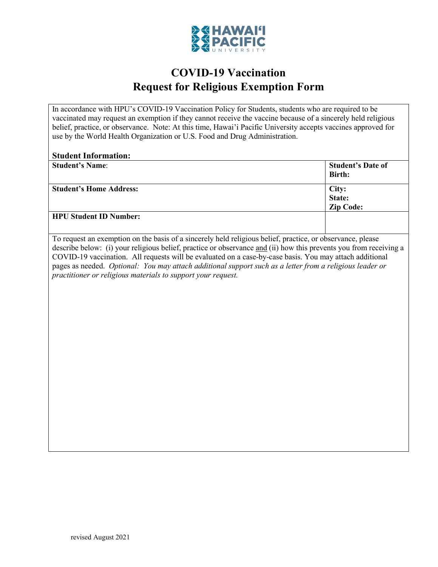

## **COVID-19 Vaccination Request for Religious Exemption Form**

In accordance with HPU's COVID-19 Vaccination Policy for Students, students who are required to be vaccinated may request an exemption if they cannot receive the vaccine because of a sincerely held religious belief, practice, or observance. Note: At this time, Hawai'i Pacific University accepts vaccines approved for use by the World Health Organization or U.S. Food and Drug Administration.

## **Student Information:**

| <b>Student's Name:</b>         | <b>Student's Date of</b><br><b>Birth:</b> |
|--------------------------------|-------------------------------------------|
| <b>Student's Home Address:</b> | City:<br>State:                           |
|                                |                                           |
|                                | <b>Zip Code:</b>                          |
| <b>HPU Student ID Number:</b>  |                                           |

To request an exemption on the basis of a sincerely held religious belief, practice, or observance, please describe below: (i) your religious belief, practice or observance and (ii) how this prevents you from receiving a COVID-19 vaccination. All requests will be evaluated on a case-by-case basis. You may attach additional pages as needed. *Optional: You may attach additional support such as a letter from a religious leader or practitioner or religious materials to support your request.*